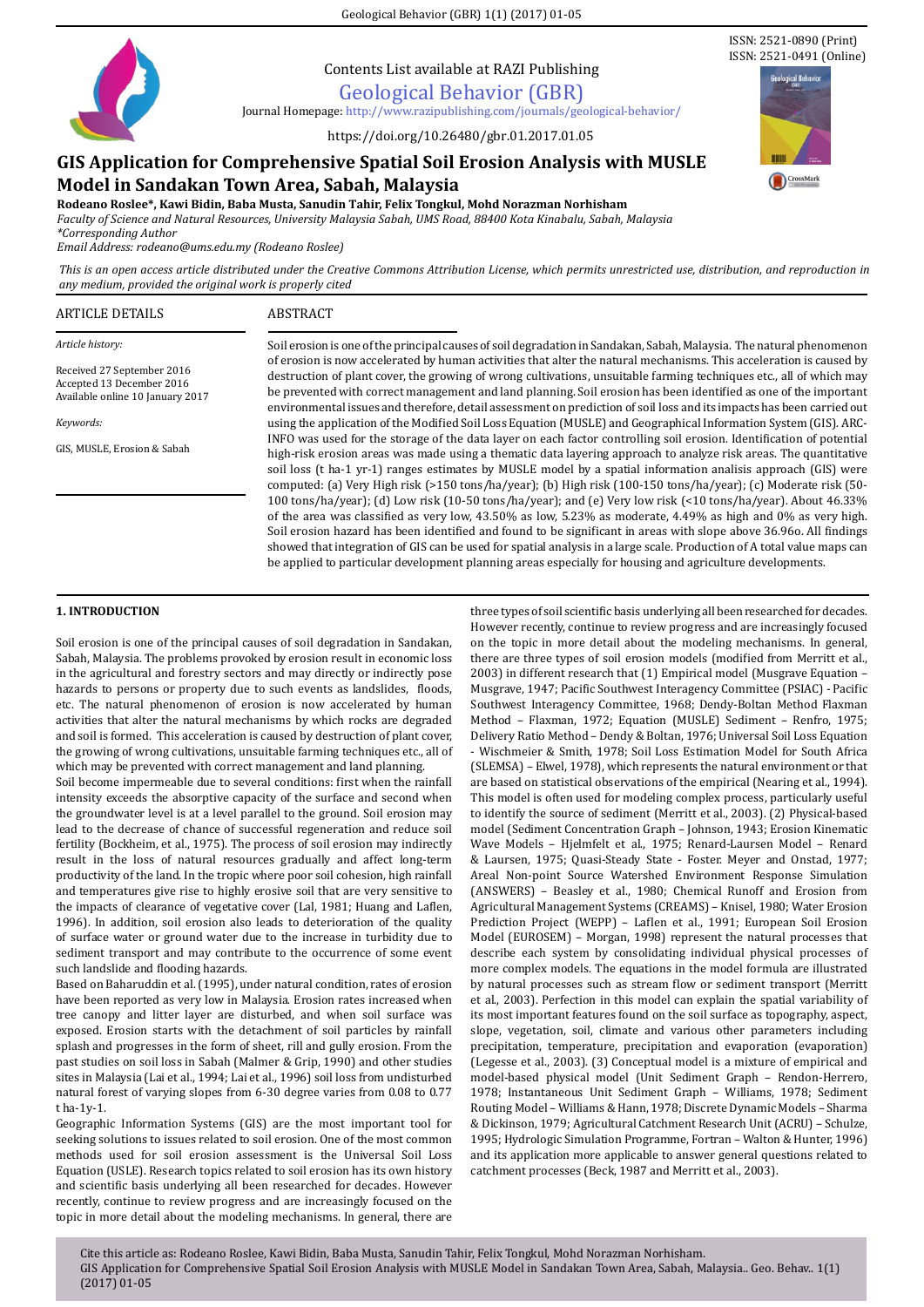Geological Behavior (GBR) 1(1) (2017) 01-05



Contents List available at RAZI Publishing

Geological Behavior (GBR)

Journal Homepage: http://www.razipublishing.com/journals/geological-behavior[/]( http://www.razipublishing.com/journals/galeri-warisan-sains-gws/ )

https://doi.org/10.26480/gbr.01.2017.01.05

# **GIS Application for Comprehensive Spatial Soil Erosion Analysis with MUSLE**

# **Model in Sandakan Town Area, Sabah, Malaysia**

**Rodeano Roslee\*, Kawi Bidin, Baba Musta, Sanudin Tahir, Felix Tongkul, Mohd Norazman Norhisham** *Faculty of Science and Natural Resources, University Malaysia Sabah, UMS Road, 88400 Kota Kinabalu, Sabah, Malaysia \*Corresponding Author*

*Email Address: rodeano@ums.edu.my (Rodeano Roslee)*

*This is an open access article distributed under the Creative Commons Attribution License, which permits unrestricted use, distribution, and reproduction in any medium, provided the original work is properly cited*

### ARTICLE DETAILS ABSTRACT

*Article history:*

Received 27 September 2016 Accepted 13 December 2016 Available online 10 January 2017

*Keywords:*

GIS, MUSLE, Erosion & Sabah

Soil erosion is one of the principal causes of soil degradation in Sandakan, Sabah, Malaysia. The natural phenomenon of erosion is now accelerated by human activities that alter the natural mechanisms. This acceleration is caused by destruction of plant cover, the growing of wrong cultivations, unsuitable farming techniques etc., all of which may be prevented with correct management and land planning. Soil erosion has been identified as one of the important environmental issues and therefore, detail assessment on prediction of soil loss and its impacts has been carried out using the application of the Modified Soil Loss Equation (MUSLE) and Geographical Information System (GIS). ARC-INFO was used for the storage of the data layer on each factor controlling soil erosion. Identification of potential high-risk erosion areas was made using a thematic data layering approach to analyze risk areas. The quantitative soil loss (t ha-1 yr-1) ranges estimates by MUSLE model by a spatial information analisis approach (GIS) were computed: (a) Very High risk (>150 tons/ha/year); (b) High risk (100-150 tons/ha/year); (c) Moderate risk (50- 100 tons/ha/year); (d) Low risk (10-50 tons/ha/year); and (e) Very low risk (<10 tons/ha/year). About 46.33% of the area was classified as very low, 43.50% as low, 5.23% as moderate, 4.49% as high and 0% as very high. Soil erosion hazard has been identified and found to be significant in areas with slope above 36.96o. All findings showed that integration of GIS can be used for spatial analysis in a large scale. Production of A total value maps can be applied to particular development planning areas especially for housing and agriculture developments.

# **1. INTRODUCTION**

Soil erosion is one of the principal causes of soil degradation in Sandakan, Sabah, Malaysia. The problems provoked by erosion result in economic loss in the agricultural and forestry sectors and may directly or indirectly pose hazards to persons or property due to such events as landslides, floods, etc. The natural phenomenon of erosion is now accelerated by human activities that alter the natural mechanisms by which rocks are degraded and soil is formed. This acceleration is caused by destruction of plant cover, the growing of wrong cultivations, unsuitable farming techniques etc., all of which may be prevented with correct management and land planning.

Soil become impermeable due to several conditions: first when the rainfall intensity exceeds the absorptive capacity of the surface and second when the groundwater level is at a level parallel to the ground. Soil erosion may lead to the decrease of chance of successful regeneration and reduce soil fertility (Bockheim, et al., 1975). The process of soil erosion may indirectly result in the loss of natural resources gradually and affect long-term productivity of the land. In the tropic where poor soil cohesion, high rainfall and temperatures give rise to highly erosive soil that are very sensitive to the impacts of clearance of vegetative cover (Lal, 1981; Huang and Laflen, 1996). In addition, soil erosion also leads to deterioration of the quality of surface water or ground water due to the increase in turbidity due to sediment transport and may contribute to the occurrence of some event such landslide and flooding hazards.

Based on Baharuddin et al. (1995), under natural condition, rates of erosion have been reported as very low in Malaysia. Erosion rates increased when tree canopy and litter layer are disturbed, and when soil surface was exposed. Erosion starts with the detachment of soil particles by rainfall splash and progresses in the form of sheet, rill and gully erosion. From the past studies on soil loss in Sabah (Malmer & Grip, 1990) and other studies sites in Malaysia (Lai et al., 1994; Lai et al., 1996) soil loss from undisturbed natural forest of varying slopes from 6-30 degree varies from 0.08 to 0.77 t ha-1y-1.

Geographic Information Systems (GIS) are the most important tool for seeking solutions to issues related to soil erosion. One of the most common methods used for soil erosion assessment is the Universal Soil Loss Equation (USLE). Research topics related to soil erosion has its own history and scientific basis underlying all been researched for decades. However recently, continue to review progress and are increasingly focused on the topic in more detail about the modeling mechanisms. In general, there are

three types of soil scientific basis underlying all been researched for decades. However recently, continue to review progress and are increasingly focused on the topic in more detail about the modeling mechanisms. In general, there are three types of soil erosion models (modified from Merritt et al., 2003) in different research that (1) Empirical model (Musgrave Equation – Musgrave, 1947; Pacific Southwest Interagency Committee (PSIAC) - Pacific Southwest Interagency Committee, 1968; Dendy-Boltan Method Flaxman Method – Flaxman, 1972; Equation (MUSLE) Sediment – Renfro, 1975; Delivery Ratio Method – Dendy & Boltan, 1976; Universal Soil Loss Equation - Wischmeier & Smith, 1978; Soil Loss Estimation Model for South Africa (SLEMSA) – Elwel, 1978), which represents the natural environment or that are based on statistical observations of the empirical (Nearing et al., 1994). This model is often used for modeling complex process, particularly useful to identify the source of sediment (Merritt et al., 2003). (2) Physical-based model (Sediment Concentration Graph – Johnson, 1943; Erosion Kinematic Wave Models – Hjelmfelt et al., 1975; Renard-Laursen Model – Renard & Laursen, 1975; Quasi-Steady State - Foster. Meyer and Onstad, 1977; Areal Non-point Source Watershed Environment Response Simulation (ANSWERS) – Beasley et al., 1980; Chemical Runoff and Erosion from Agricultural Management Systems (CREAMS) – Knisel, 1980; Water Erosion Prediction Project (WEPP) – Laflen et al., 1991; European Soil Erosion Model (EUROSEM) – Morgan, 1998) represent the natural processes that describe each system by consolidating individual physical processes of more complex models. The equations in the model formula are illustrated by natural processes such as stream flow or sediment transport (Merritt et al., 2003). Perfection in this model can explain the spatial variability of its most important features found on the soil surface as topography, aspect, slope, vegetation, soil, climate and various other parameters including precipitation, temperature, precipitation and evaporation (evaporation) (Legesse et al., 2003). (3) Conceptual model is a mixture of empirical and model-based physical model (Unit Sediment Graph – Rendon-Herrero, 1978; Instantaneous Unit Sediment Graph – Williams, 1978; Sediment Routing Model – Williams & Hann, 1978; Discrete Dynamic Models – Sharma & Dickinson, 1979; Agricultural Catchment Research Unit (ACRU) – Schulze, 1995; Hydrologic Simulation Programme, Fortran – Walton & Hunter, 1996) and its application more applicable to answer general questions related to catchment processes (Beck, 1987 and Merritt et al., 2003).



ISSN: 2521-0890 (Print)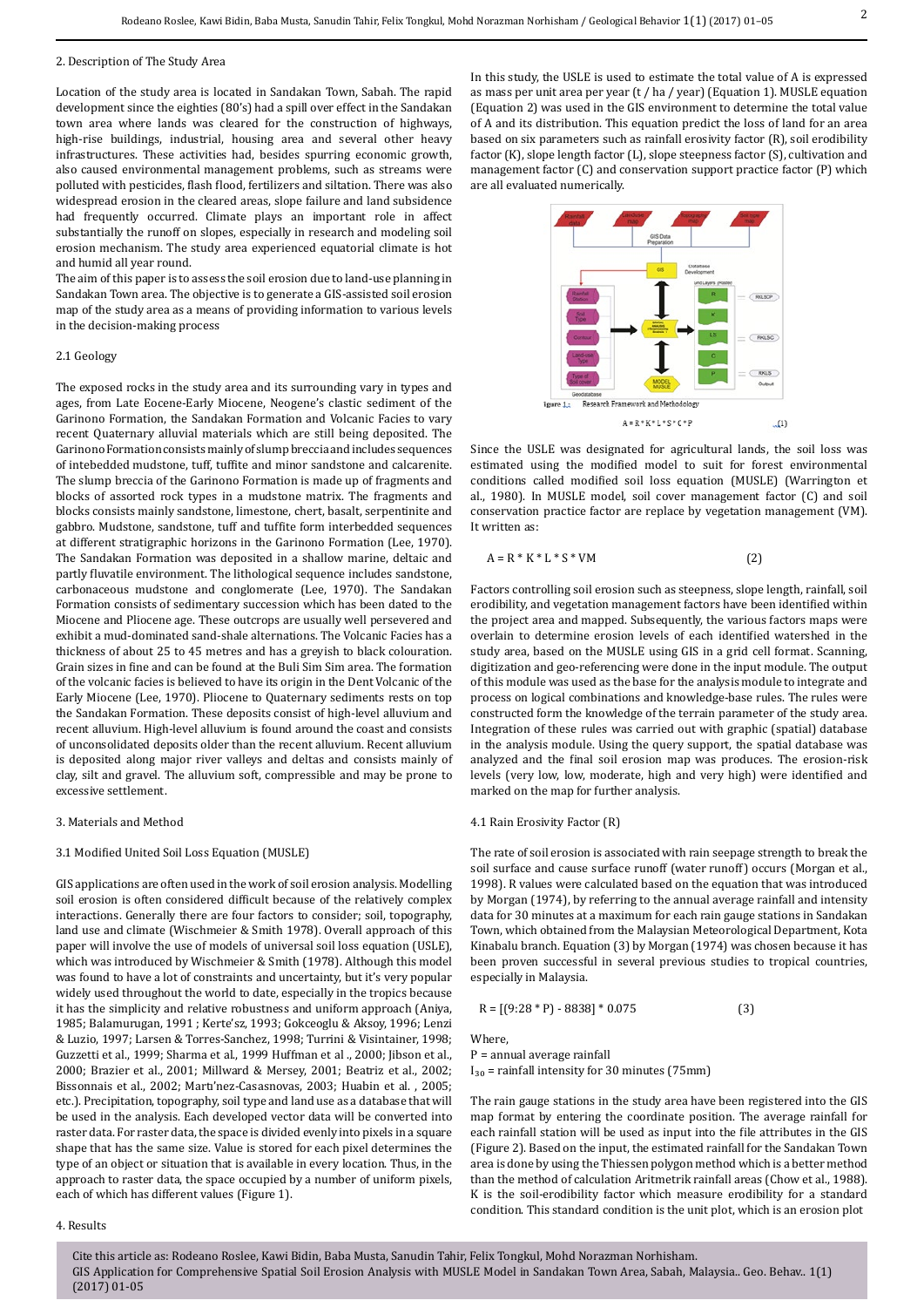#### 2. Description of The Study Area

Location of the study area is located in Sandakan Town, Sabah. The rapid development since the eighties (80's) had a spill over effect in the Sandakan town area where lands was cleared for the construction of highways, high-rise buildings, industrial, housing area and several other heavy infrastructures. These activities had, besides spurring economic growth, also caused environmental management problems, such as streams were polluted with pesticides, flash flood, fertilizers and siltation. There was also widespread erosion in the cleared areas, slope failure and land subsidence had frequently occurred. Climate plays an important role in affect substantially the runoff on slopes, especially in research and modeling soil erosion mechanism. The study area experienced equatorial climate is hot and humid all year round.

The aim of this paper is to assess the soil erosion due to land-use planning in Sandakan Town area. The objective is to generate a GIS-assisted soil erosion map of the study area as a means of providing information to various levels in the decision-making process

#### 2.1 Geology

The exposed rocks in the study area and its surrounding vary in types and ages, from Late Eocene-Early Miocene, Neogene's clastic sediment of the Garinono Formation, the Sandakan Formation and Volcanic Facies to vary recent Quaternary alluvial materials which are still being deposited. The Garinono Formation consists mainly of slump breccia and includes sequences of intebedded mudstone, tuff, tuffite and minor sandstone and calcarenite. The slump breccia of the Garinono Formation is made up of fragments and blocks of assorted rock types in a mudstone matrix. The fragments and blocks consists mainly sandstone, limestone, chert, basalt, serpentinite and gabbro. Mudstone, sandstone, tuff and tuffite form interbedded sequences at different stratigraphic horizons in the Garinono Formation (Lee, 1970). The Sandakan Formation was deposited in a shallow marine, deltaic and partly fluvatile environment. The lithological sequence includes sandstone, carbonaceous mudstone and conglomerate (Lee, 1970). The Sandakan Formation consists of sedimentary succession which has been dated to the Miocene and Pliocene age. These outcrops are usually well persevered and exhibit a mud-dominated sand-shale alternations. The Volcanic Facies has a thickness of about 25 to 45 metres and has a greyish to black colouration. Grain sizes in fine and can be found at the Buli Sim Sim area. The formation of the volcanic facies is believed to have its origin in the Dent Volcanic of the Early Miocene (Lee, 1970). Pliocene to Quaternary sediments rests on top the Sandakan Formation. These deposits consist of high-level alluvium and recent alluvium. High-level alluvium is found around the coast and consists of unconsolidated deposits older than the recent alluvium. Recent alluvium is deposited along major river valleys and deltas and consists mainly of clay, silt and gravel. The alluvium soft, compressible and may be prone to excessive settlement.

#### 3. Materials and Method

#### 3.1 Modified United Soil Loss Equation (MUSLE)

GIS applications are often used in the work of soil erosion analysis. Modelling soil erosion is often considered difficult because of the relatively complex interactions. Generally there are four factors to consider; soil, topography, land use and climate (Wischmeier & Smith 1978). Overall approach of this paper will involve the use of models of universal soil loss equation (USLE), which was introduced by Wischmeier & Smith (1978). Although this model was found to have a lot of constraints and uncertainty, but it's very popular widely used throughout the world to date, especially in the tropics because it has the simplicity and relative robustness and uniform approach (Aniya, 1985; Balamurugan, 1991 ; Kerte'sz, 1993; Gokceoglu & Aksoy, 1996; Lenzi & Luzio, 1997; Larsen & Torres-Sanchez, 1998; Turrini & Visintainer, 1998; Guzzetti et al., 1999; Sharma et al., 1999 Huffman et al ., 2000; Jibson et al., 2000; Brazier et al., 2001; Millward & Mersey, 2001; Beatriz et al., 2002; Bissonnais et al., 2002; Martı'nez-Casasnovas, 2003; Huabin et al. , 2005; etc.). Precipitation, topography, soil type and land use as a database that will be used in the analysis. Each developed vector data will be converted into raster data. For raster data, the space is divided evenly into pixels in a square shape that has the same size. Value is stored for each pixel determines the type of an object or situation that is available in every location. Thus, in the approach to raster data, the space occupied by a number of uniform pixels, each of which has different values (Figure 1).

#### 4. Results

In this study, the USLE is used to estimate the total value of A is expressed as mass per unit area per year (t / ha / year) (Equation 1). MUSLE equation (Equation 2) was used in the GIS environment to determine the total value of A and its distribution. This equation predict the loss of land for an area based on six parameters such as rainfall erosivity factor (R), soil erodibility factor (K), slope length factor (L), slope steepness factor (S), cultivation and management factor (C) and conservation support practice factor (P) which are all evaluated numerically.



Since the USLE was designated for agricultural lands, the soil loss was estimated using the modified model to suit for forest environmental conditions called modified soil loss equation (MUSLE) (Warrington et al., 1980). In MUSLE model, soil cover management factor (C) and soil conservation practice factor are replace by vegetation management (VM). It written as:

$$
A = R * K * L * S * VM \tag{2}
$$

Factors controlling soil erosion such as steepness, slope length, rainfall, soil erodibility, and vegetation management factors have been identified within the project area and mapped. Subsequently, the various factors maps were overlain to determine erosion levels of each identified watershed in the study area, based on the MUSLE using GIS in a grid cell format. Scanning, digitization and geo-referencing were done in the input module. The output of this module was used as the base for the analysis module to integrate and process on logical combinations and knowledge-base rules. The rules were constructed form the knowledge of the terrain parameter of the study area. Integration of these rules was carried out with graphic (spatial) database in the analysis module. Using the query support, the spatial database was analyzed and the final soil erosion map was produces. The erosion-risk levels (very low, low, moderate, high and very high) were identified and marked on the map for further analysis.

#### 4.1 Rain Erosivity Factor (R)

The rate of soil erosion is associated with rain seepage strength to break the soil surface and cause surface runoff (water runoff) occurs (Morgan et al., 1998). R values were calculated based on the equation that was introduced by Morgan (1974), by referring to the annual average rainfall and intensity data for 30 minutes at a maximum for each rain gauge stations in Sandakan Town, which obtained from the Malaysian Meteorological Department, Kota Kinabalu branch. Equation (3) by Morgan (1974) was chosen because it has been proven successful in several previous studies to tropical countries, especially in Malaysia.

$$
R = [(9:28 * P) - 8838] * 0.075
$$
 (3)

Where,

P = annual average rainfall

 $I_{30}$  = rainfall intensity for 30 minutes (75mm)

The rain gauge stations in the study area have been registered into the GIS map format by entering the coordinate position. The average rainfall for each rainfall station will be used as input into the file attributes in the GIS (Figure 2). Based on the input, the estimated rainfall for the Sandakan Town area is done by using the Thiessen polygon method which is a better method than the method of calculation Aritmetrik rainfall areas (Chow et al., 1988). K is the soil-erodibility factor which measure erodibility for a standard condition. This standard condition is the unit plot, which is an erosion plot

Cite this article as: Rodeano Roslee, Kawi Bidin, Baba Musta, Sanudin Tahir, Felix Tongkul, Mohd Norazman Norhisham. GIS Application for Comprehensive Spatial Soil Erosion Analysis with MUSLE Model in Sandakan Town Area, Sabah, Malaysia.. Geo. Behav.. 1(1) (2017) 01-05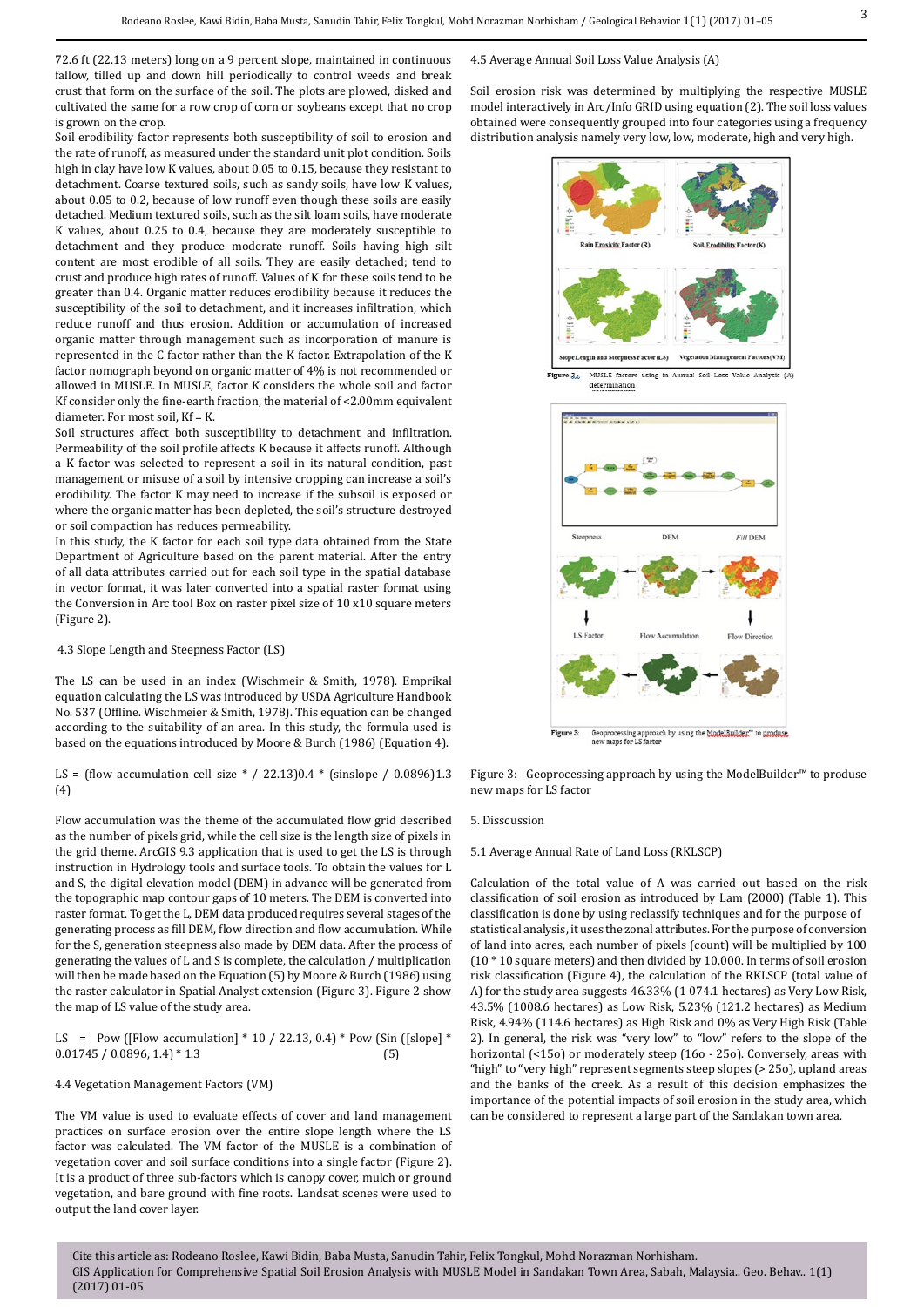72.6 ft (22.13 meters) long on a 9 percent slope, maintained in continuous fallow, tilled up and down hill periodically to control weeds and break crust that form on the surface of the soil. The plots are plowed, disked and cultivated the same for a row crop of corn or soybeans except that no crop is grown on the crop.

Soil erodibility factor represents both susceptibility of soil to erosion and the rate of runoff, as measured under the standard unit plot condition. Soils high in clay have low K values, about 0.05 to 0.15, because they resistant to detachment. Coarse textured soils, such as sandy soils, have low K values, about 0.05 to 0.2, because of low runoff even though these soils are easily detached. Medium textured soils, such as the silt loam soils, have moderate K values, about 0.25 to 0.4, because they are moderately susceptible to detachment and they produce moderate runoff. Soils having high silt content are most erodible of all soils. They are easily detached; tend to crust and produce high rates of runoff. Values of K for these soils tend to be greater than 0.4. Organic matter reduces erodibility because it reduces the susceptibility of the soil to detachment, and it increases infiltration, which reduce runoff and thus erosion. Addition or accumulation of increased organic matter through management such as incorporation of manure is represented in the C factor rather than the K factor. Extrapolation of the K factor nomograph beyond on organic matter of 4% is not recommended or allowed in MUSLE. In MUSLE, factor K considers the whole soil and factor Kf consider only the fine-earth fraction, the material of <2.00mm equivalent diameter. For most soil, Kf = K.

Soil structures affect both susceptibility to detachment and infiltration. Permeability of the soil profile affects K because it affects runoff. Although a K factor was selected to represent a soil in its natural condition, past management or misuse of a soil by intensive cropping can increase a soil's erodibility. The factor K may need to increase if the subsoil is exposed or where the organic matter has been depleted, the soil's structure destroyed or soil compaction has reduces permeability.

In this study, the K factor for each soil type data obtained from the State Department of Agriculture based on the parent material. After the entry of all data attributes carried out for each soil type in the spatial database in vector format, it was later converted into a spatial raster format using the Conversion in Arc tool Box on raster pixel size of 10 x10 square meters (Figure 2).

#### 4.3 Slope Length and Steepness Factor (LS)

The LS can be used in an index (Wischmeir & Smith, 1978). Emprikal equation calculating the LS was introduced by USDA Agriculture Handbook No. 537 (Offline. Wischmeier & Smith, 1978). This equation can be changed according to the suitability of an area. In this study, the formula used is based on the equations introduced by Moore & Burch (1986) (Equation 4).

LS = (flow accumulation cell size  $*/$  22.13)0.4  $*$  (sinslope / 0.0896)1.3 (4)

Flow accumulation was the theme of the accumulated flow grid described as the number of pixels grid, while the cell size is the length size of pixels in the grid theme. ArcGIS 9.3 application that is used to get the LS is through instruction in Hydrology tools and surface tools. To obtain the values for L and S, the digital elevation model (DEM) in advance will be generated from the topographic map contour gaps of 10 meters. The DEM is converted into raster format. To get the L, DEM data produced requires several stages of the generating process as fill DEM, flow direction and flow accumulation. While for the S, generation steepness also made by DEM data. After the process of generating the values of L and S is complete, the calculation / multiplication will then be made based on the Equation (5) by Moore & Burch (1986) using the raster calculator in Spatial Analyst extension (Figure 3). Figure 2 show the map of LS value of the study area.

LS = Pow ([Flow accumulation] \* 10 / 22.13, 0.4) \* Pow (Sin ([slope] \* 0.01745 / 0.0896. 1.4) \* 1.3 (5)  $0.01745 / 0.0896, 1.4$  \* 1.3

#### 4.4 Vegetation Management Factors (VM)

The VM value is used to evaluate effects of cover and land management practices on surface erosion over the entire slope length where the LS factor was calculated. The VM factor of the MUSLE is a combination of vegetation cover and soil surface conditions into a single factor (Figure 2). It is a product of three sub-factors which is canopy cover, mulch or ground vegetation, and bare ground with fine roots. Landsat scenes were used to output the land cover layer.

4.5 Average Annual Soil Loss Value Analysis (A)

Soil erosion risk was determined by multiplying the respective MUSLE model interactively in Arc/Info GRID using equation (2). The soil loss values obtained were consequently grouped into four categories using a frequency distribution analysis namely very low, low, moderate, high and very high.



Figure 3: Geoprocessing approach by using the ModelBuilder™ to produse new maps for LS factor

#### 5. Disscussion

#### 5.1 Average Annual Rate of Land Loss (RKLSCP)

Calculation of the total value of A was carried out based on the risk classification of soil erosion as introduced by Lam (2000) (Table 1). This classification is done by using reclassify techniques and for the purpose of statistical analysis, it uses the zonal attributes. For the purpose of conversion of land into acres, each number of pixels (count) will be multiplied by 100 (10 \* 10 square meters) and then divided by 10,000. In terms of soil erosion risk classification (Figure 4), the calculation of the RKLSCP (total value of A) for the study area suggests 46.33% (1 074.1 hectares) as Very Low Risk, 43.5% (1008.6 hectares) as Low Risk, 5.23% (121.2 hectares) as Medium Risk, 4.94% (114.6 hectares) as High Risk and 0% as Very High Risk (Table 2). In general, the risk was "very low" to "low" refers to the slope of the horizontal (<15o) or moderately steep (16o - 25o). Conversely, areas with "high" to "very high" represent segments steep slopes (> 25o), upland areas and the banks of the creek. As a result of this decision emphasizes the importance of the potential impacts of soil erosion in the study area, which can be considered to represent a large part of the Sandakan town area.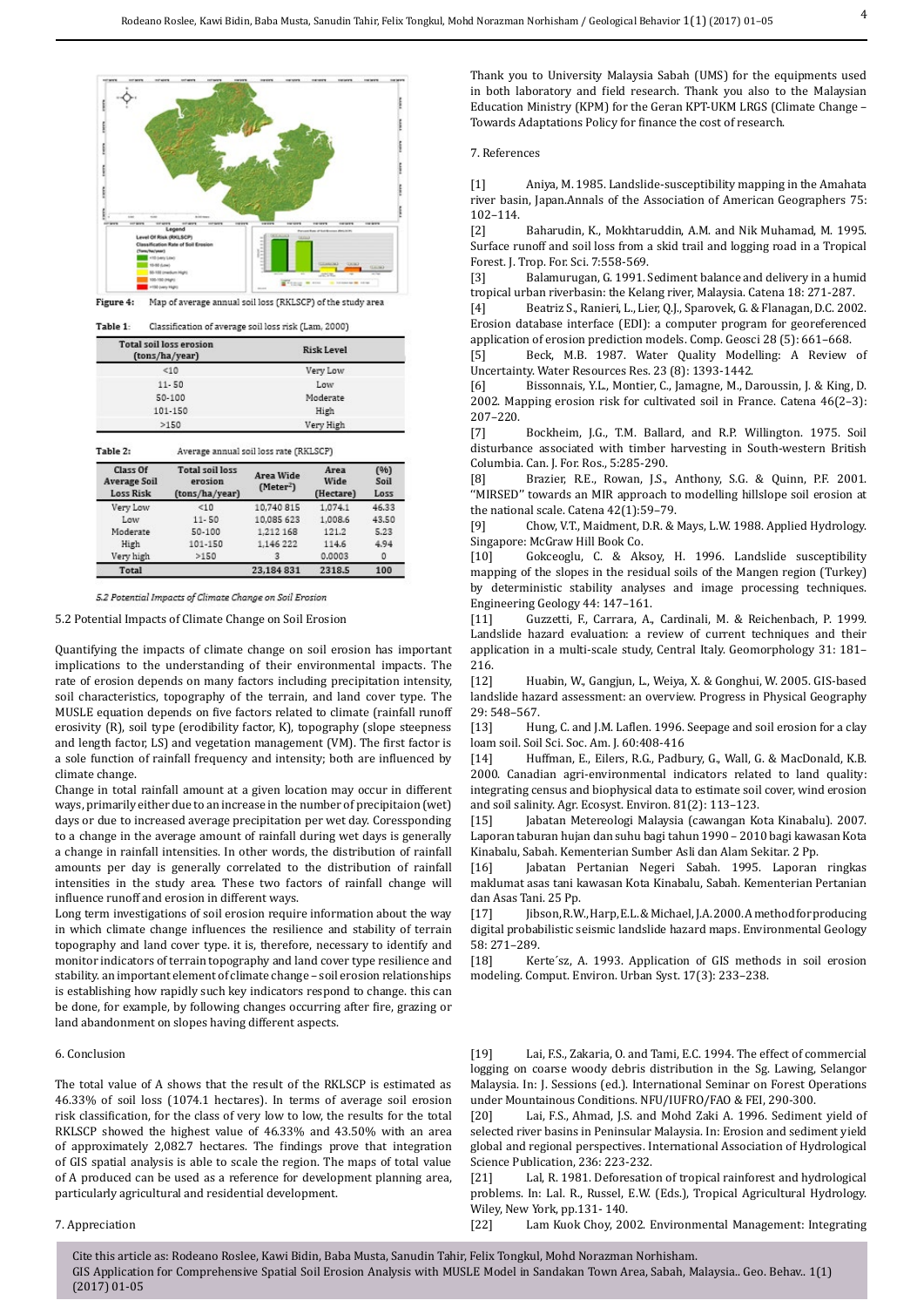

| Table 1: | Classification of average soil loss risk (Lam, 2000) |  |
|----------|------------------------------------------------------|--|

| <b>Total soil loss erosion</b><br>(tons/ha/year) | <b>Risk Level</b> |
|--------------------------------------------------|-------------------|
| <10                                              | Very Low          |
| $11 - 50$                                        | Low               |
| 50-100                                           | Moderate          |
| 101-150                                          | High              |
| >150                                             | Very High         |

| Table 2:                                     | Average annual soil loss rate (RKLSCP)              |                                    |                           |                      |  |
|----------------------------------------------|-----------------------------------------------------|------------------------------------|---------------------------|----------------------|--|
| Class Of<br><b>Average Soil</b><br>Loss Risk | <b>Total soil loss</b><br>erosion<br>(tons/ha/year) | Area Wide<br>(Meter <sup>2</sup> ) | Area<br>Wide<br>(Hectare) | (96)<br>Soil<br>Loss |  |
| Very Low                                     | <10                                                 | 10,740 815                         | 1.074.1                   | 46.33                |  |
| Low                                          | $11 - 50$                                           | 10,085 623                         | 1,008.6                   | 43.50                |  |
| Moderate                                     | 50-100                                              | 1,212 168                          | 121.2                     | 5.23                 |  |
| High                                         | 101-150                                             | 1,146 222                          | 114.6                     | 4.94                 |  |
| Very high                                    | >150                                                |                                    | 0.0003                    | 0                    |  |
| <b>Total</b>                                 |                                                     | 23.184 831                         | 2318.5                    | 100                  |  |

5.2 Potential Impacts of Climate Change on Soil Erosion

5.2 Potential Impacts of Climate Change on Soil Erosion

Quantifying the impacts of climate change on soil erosion has important implications to the understanding of their environmental impacts. The rate of erosion depends on many factors including precipitation intensity, soil characteristics, topography of the terrain, and land cover type. The MUSLE equation depends on five factors related to climate (rainfall runoff erosivity (R), soil type (erodibility factor, K), topography (slope steepness and length factor, LS) and vegetation management (VM). The first factor is a sole function of rainfall frequency and intensity; both are influenced by climate change.

Change in total rainfall amount at a given location may occur in different ways, primarily either due to an increase in the number of precipitaion (wet) days or due to increased average precipitation per wet day. Coressponding to a change in the average amount of rainfall during wet days is generally a change in rainfall intensities. In other words, the distribution of rainfall amounts per day is generally correlated to the distribution of rainfall intensities in the study area. These two factors of rainfall change will influence runoff and erosion in different ways.

Long term investigations of soil erosion require information about the way in which climate change influences the resilience and stability of terrain topography and land cover type. it is, therefore, necessary to identify and monitor indicators of terrain topography and land cover type resilience and stability. an important element of climate change – soil erosion relationships is establishing how rapidly such key indicators respond to change. this can be done, for example, by following changes occurring after fire, grazing or land abandonment on slopes having different aspects.

#### 6. Conclusion

The total value of A shows that the result of the RKLSCP is estimated as 46.33% of soil loss (1074.1 hectares). In terms of average soil erosion risk classification, for the class of very low to low, the results for the total RKLSCP showed the highest value of 46.33% and 43.50% with an area of approximately 2,082.7 hectares. The findings prove that integration of GIS spatial analysis is able to scale the region. The maps of total value of A produced can be used as a reference for development planning area, particularly agricultural and residential development.

## 7. Appreciation

Thank you to University Malaysia Sabah (UMS) for the equipments used in both laboratory and field research. Thank you also to the Malaysian Education Ministry (KPM) for the Geran KPT-UKM LRGS (Climate Change – Towards Adaptations Policy for finance the cost of research.

#### 7. References

[1] Aniya, M. 1985. Landslide-susceptibility mapping in the Amahata river basin, Japan.Annals of the Association of American Geographers 75: 102–114.

Baharudin, K., Mokhtaruddin, A.M. and Nik Muhamad, M. 1995. Surface runoff and soil loss from a skid trail and logging road in a Tropical Forest. J. Trop. For. Sci. 7:558-569.<br>[3] Balamurugan, G. 1991. S

Balamurugan, G. 1991. Sediment balance and delivery in a humid tropical urban riverbasin: the Kelang river, Malaysia. Catena 18: 271-287.

Beatriz S., Ranieri, L., Lier, Q.J., Sparovek, G. & Flanagan, D.C. 2002. Erosion database interface (EDI): a computer program for georeferenced application of erosion prediction models. Comp. Geosci 28 (5): 661–668.<br>[5] Beck, M.B. 1987. Water Quality Modelling: A Review

Beck, M.B. 1987. Water Quality Modelling: A Review of Uncertainty. Water Resources Res. 23 (8): 1393-1442.<br>[6] Bissonnais, Y.L., Montier, C., Jamagne, M., D.

[6] Bissonnais, Y.L., Montier, C., Jamagne, M., Daroussin, J. & King, D. 2002. Mapping erosion risk for cultivated soil in France. Catena 46(2–3): 207–220.<br>[7]

Bockheim, J.G., T.M. Ballard, and R.P. Willington. 1975. Soil disturbance associated with timber harvesting in South-western British Columbia. Can. J. For. Ros., 5:285-290.

Brazier, R.E., Rowan, J.S., Anthony, S.G. & Quinn, P.F. 2001. ''MIRSED'' towards an MIR approach to modelling hillslope soil erosion at the national scale. Catena  $42(1):59-79$ .<br>[9] Chow, V.T., Maidment, D.R. & l

Chow, V.T., Maidment, D.R. & Mays, L.W. 1988. Applied Hydrology. Singapore: McGraw Hill Book Co.<br>[10] Gokceoglu. C. & Ak

Gokceoglu, C. & Aksoy, H. 1996. Landslide susceptibility mapping of the slopes in the residual soils of the Mangen region (Turkey) by deterministic stability analyses and image processing techniques. Engineering Geology 44: 147-161.<br>[11] Guzzetti, F., Carrara, A.,

[11] Guzzetti, F., Carrara, A., Cardinali, M. & Reichenbach, P. 1999. Landslide hazard evaluation: a review of current techniques and their application in a multi-scale study, Central Italy. Geomorphology 31: 181–

216.<br>[12] Huabin, W., Gangjun, L., Weiya, X. & Gonghui, W. 2005. GIS-based landslide hazard assessment: an overview. Progress in Physical Geography 29: 548-567.<br>[13] Hu

Hung, C. and J.M. Laflen. 1996. Seepage and soil erosion for a clay loam soil. Soil Sci. Soc. Am. J. 60:408-416<br>[14] Huffman, E., Eilers, R.G., Padb

Huffman, E., Eilers, R.G., Padbury, G., Wall, G. & MacDonald, K.B. 2000. Canadian agri-environmental indicators related to land quality: integrating census and biophysical data to estimate soil cover, wind erosion and soil salinity. Agr. Ecosyst. Environ. 81(2): 113–123.

Jabatan Metereologi Malaysia (cawangan Kota Kinabalu). 2007. Laporan taburan hujan dan suhu bagi tahun 1990 – 2010 bagi kawasan Kota Kinabalu, Sabah. Kementerian Sumber Asli dan Alam Sekitar. 2 Pp.

[16] Jabatan Pertanian Negeri Sabah. 1995. Laporan ringkas maklumat asas tani kawasan Kota Kinabalu, Sabah. Kementerian Pertanian dan Asas Tani. 25 Pp.<br>[17] libson.R.W

Jibson, R.W., Harp, E.L. & Michael, J.A. 2000. A method for producing digital probabilistic seismic landslide hazard maps. Environmental Geology 58: 271-289.<br>[18] Ke

Kerte'sz, A. 1993. Application of GIS methods in soil erosion modeling. Comput. Environ. Urban Syst. 17(3): 233–238.

[19] Lai, F.S., Zakaria, O. and Tami, E.C. 1994. The effect of commercial logging on coarse woody debris distribution in the Sg. Lawing, Selangor Malaysia. In: J. Sessions (ed.). International Seminar on Forest Operations under Mountainous Conditions. NFU/IUFRO/FAO & FEI, 290-300.<br>[20] Lai, ES., Ahmad, LS. and Mohd Zaki A, 1996. Sedimen

Lai, F.S., Ahmad, J.S. and Mohd Zaki A. 1996. Sediment vield of selected river basins in Peninsular Malaysia. In: Erosion and sediment yield global and regional perspectives. International Association of Hydrological Science Publication, 236: 223-232.<br>[21] Lal, R. 1981. Deforesatio

Lal, R. 1981. Deforesation of tropical rainforest and hydrological problems. In: Lal. R., Russel, E.W. (Eds.), Tropical Agricultural Hydrology. Wiley, New York, pp.131-140.<br>[22] Lam Kuok Choy, 20

Lam Kuok Choy, 2002. Environmental Management: Integrating

Cite this article as: Rodeano Roslee, Kawi Bidin, Baba Musta, Sanudin Tahir, Felix Tongkul, Mohd Norazman Norhisham. GIS Application for Comprehensive Spatial Soil Erosion Analysis with MUSLE Model in Sandakan Town Area, Sabah, Malaysia.. Geo. Behav.. 1(1) (2017) 01-05